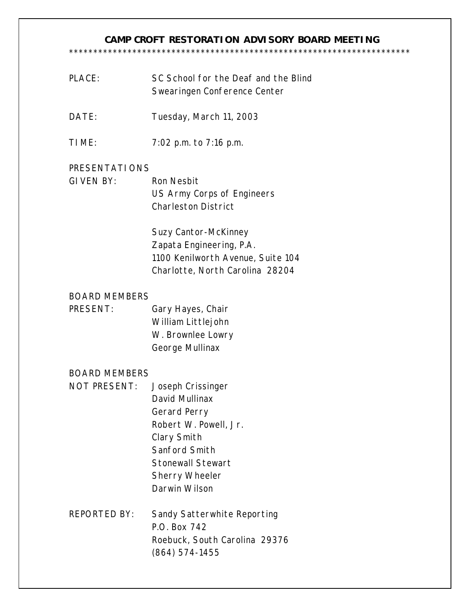#### **CAMP CROFT RESTORATION ADVISORY BOARD MEETING**  \*\*\*\*\*\*\*\*\*\*\*\*\*\*\*\*\*\*\*\*\*\*\*\*\*\*\*\*\*\*\*\*\*\*\*\*\*\*\*\*\*\*\*\*\*\*\*\*\*\*\*\*\*\*\*\*\*\*\*\*\*\*\*\*\*\*\*\*\*\*

| PLACE: | SC School for the Deaf and the Blind |
|--------|--------------------------------------|
|        | Swearingen Conference Center         |

- DATE: Tuesday, March 11, 2003
- TIME: 7:02 p.m. to 7:16 p.m.

# PRESENTATIONS

GIVEN BY: Ron Nesbit US Army Corps of Engineers Charleston District

> Suzy Cantor-McKinney Zapata Engineering, P.A. 1100 Kenilworth Avenue, Suite 104 Charlotte, North Carolina 28204

### BOARD MEMBERS

PRESENT: Gary Hayes, Chair William Littlejohn W. Brownlee Lowry George Mullinax

### BOARD MEMBERS

- NOT PRESENT: Joseph Crissinger David Mullinax Gerard Perry Robert W. Powell, Jr. Clary Smith Sanford Smith Stonewall Stewart Sherry Wheeler Darwin Wilson
- REPORTED BY: Sandy Satterwhite Reporting P.O. Box 742 Roebuck, South Carolina 29376 (864) 574-1455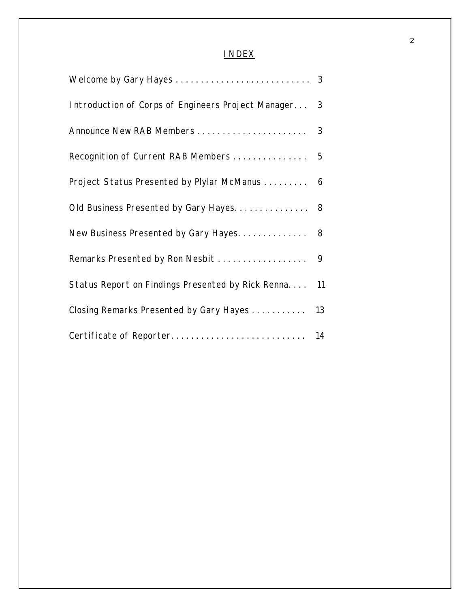# INDEX

| Introduction of Corps of Engineers Project Manager            |  |  |
|---------------------------------------------------------------|--|--|
| $\overline{\mathbf{3}}$                                       |  |  |
|                                                               |  |  |
| Project Status Presented by Plylar McManus<br>$6\overline{6}$ |  |  |
| Old Business Presented by Gary Hayes 8                        |  |  |
|                                                               |  |  |
|                                                               |  |  |
| Status Report on Findings Presented by Rick Renna<br>11       |  |  |
| Closing Remarks Presented by Gary Hayes                       |  |  |
|                                                               |  |  |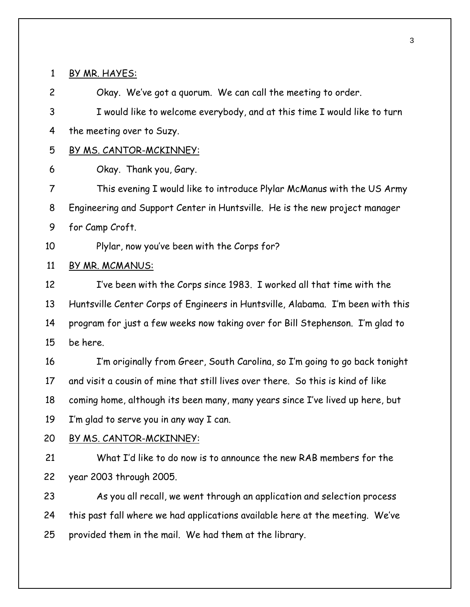#### BY MR. HAYES:

 Okay. We've got a quorum. We can call the meeting to order. I would like to welcome everybody, and at this time I would like to turn the meeting over to Suzy. BY MS. CANTOR-MCKINNEY: Okay. Thank you, Gary. This evening I would like to introduce Plylar McManus with the US Army Engineering and Support Center in Huntsville. He is the new project manager for Camp Croft. Plylar, now you've been with the Corps for? BY MR. MCMANUS: I've been with the Corps since 1983. I worked all that time with the Huntsville Center Corps of Engineers in Huntsville, Alabama. I'm been with this program for just a few weeks now taking over for Bill Stephenson. I'm glad to be here. I'm originally from Greer, South Carolina, so I'm going to go back tonight and visit a cousin of mine that still lives over there. So this is kind of like coming home, although its been many, many years since I've lived up here, but I'm glad to serve you in any way I can. BY MS. CANTOR-MCKINNEY: What I'd like to do now is to announce the new RAB members for the year 2003 through 2005. As you all recall, we went through an application and selection process this past fall where we had applications available here at the meeting. We've provided them in the mail. We had them at the library.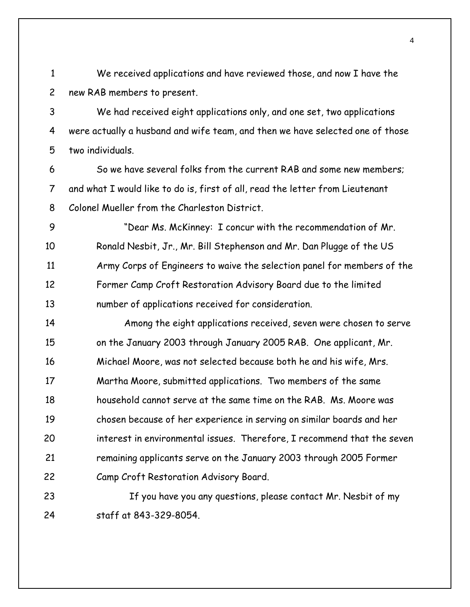We received applications and have reviewed those, and now I have the new RAB members to present.

 We had received eight applications only, and one set, two applications were actually a husband and wife team, and then we have selected one of those two individuals.

 So we have several folks from the current RAB and some new members; and what I would like to do is, first of all, read the letter from Lieutenant Colonel Mueller from the Charleston District.

 "Dear Ms. McKinney: I concur with the recommendation of Mr. Ronald Nesbit, Jr., Mr. Bill Stephenson and Mr. Dan Plugge of the US Army Corps of Engineers to waive the selection panel for members of the Former Camp Croft Restoration Advisory Board due to the limited number of applications received for consideration.

 Among the eight applications received, seven were chosen to serve on the January 2003 through January 2005 RAB. One applicant, Mr. Michael Moore, was not selected because both he and his wife, Mrs. Martha Moore, submitted applications. Two members of the same household cannot serve at the same time on the RAB. Ms. Moore was chosen because of her experience in serving on similar boards and her interest in environmental issues. Therefore, I recommend that the seven remaining applicants serve on the January 2003 through 2005 Former Camp Croft Restoration Advisory Board.

23 If you have you any questions, please contact Mr. Nesbit of my staff at 843-329-8054.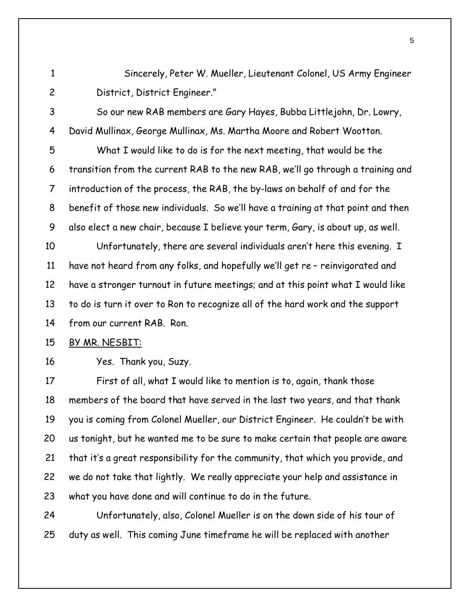Sincerely, Peter W. Mueller, Lieutenant Colonel, US Army Engineer District, District Engineer."

 So our new RAB members are Gary Hayes, Bubba Littlejohn, Dr. Lowry, David Mullinax, George Mullinax, Ms. Martha Moore and Robert Wootton. What I would like to do is for the next meeting, that would be the transition from the current RAB to the new RAB, we'll go through a training and

 introduction of the process, the RAB, the by-laws on behalf of and for the benefit of those new individuals. So we'll have a training at that point and then also elect a new chair, because I believe your term, Gary, is about up, as well.

 Unfortunately, there are several individuals aren't here this evening. I have not heard from any folks, and hopefully we'll get re – reinvigorated and have a stronger turnout in future meetings; and at this point what I would like to do is turn it over to Ron to recognize all of the hard work and the support from our current RAB. Ron.

# BY MR. NESBIT:

Yes. Thank you, Suzy.

 First of all, what I would like to mention is to, again, thank those members of the board that have served in the last two years, and that thank you is coming from Colonel Mueller, our District Engineer. He couldn't be with us tonight, but he wanted me to be sure to make certain that people are aware that it's a great responsibility for the community, that which you provide, and we do not take that lightly. We really appreciate your help and assistance in what you have done and will continue to do in the future.

 Unfortunately, also, Colonel Mueller is on the down side of his tour of duty as well. This coming June timeframe he will be replaced with another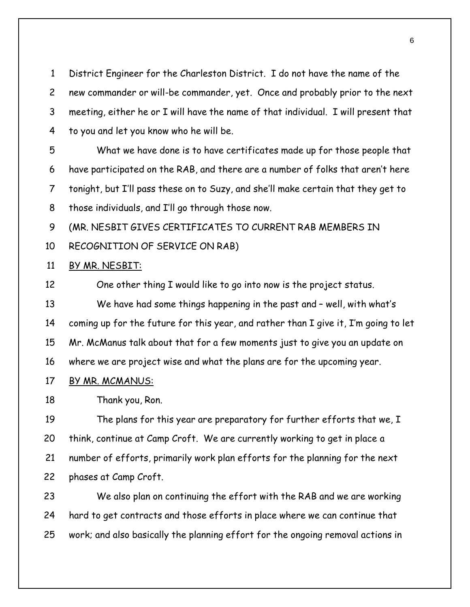District Engineer for the Charleston District. I do not have the name of the new commander or will-be commander, yet. Once and probably prior to the next meeting, either he or I will have the name of that individual. I will present that to you and let you know who he will be.

 What we have done is to have certificates made up for those people that have participated on the RAB, and there are a number of folks that aren't here tonight, but I'll pass these on to Suzy, and she'll make certain that they get to those individuals, and I'll go through those now.

(MR. NESBIT GIVES CERTIFICATES TO CURRENT RAB MEMBERS IN

RECOGNITION OF SERVICE ON RAB)

### BY MR. NESBIT:

 One other thing I would like to go into now is the project status. We have had some things happening in the past and – well, with what's coming up for the future for this year, and rather than I give it, I'm going to let Mr. McManus talk about that for a few moments just to give you an update on where we are project wise and what the plans are for the upcoming year.

# BY MR. MCMANUS:

Thank you, Ron.

 The plans for this year are preparatory for further efforts that we, I think, continue at Camp Croft. We are currently working to get in place a number of efforts, primarily work plan efforts for the planning for the next phases at Camp Croft.

 We also plan on continuing the effort with the RAB and we are working hard to get contracts and those efforts in place where we can continue that work; and also basically the planning effort for the ongoing removal actions in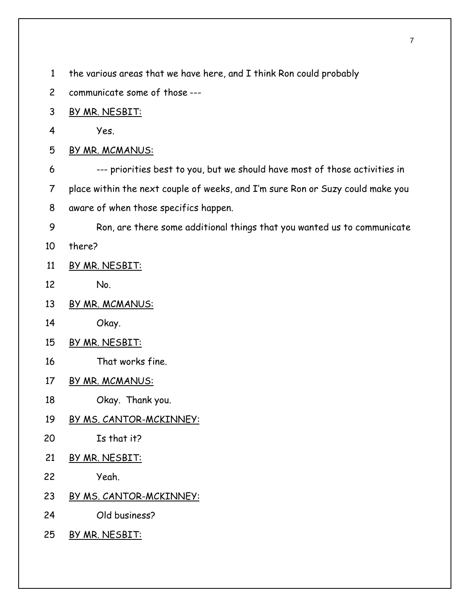the various areas that we have here, and I think Ron could probably

- communicate some of those ---
- BY MR. NESBIT:
- Yes.
- BY MR. MCMANUS:
- --- priorities best to you, but we should have most of those activities in
- place within the next couple of weeks, and I'm sure Ron or Suzy could make you
- aware of when those specifics happen.
- Ron, are there some additional things that you wanted us to communicate
- there?
- BY MR. NESBIT:
- No.
- BY MR. MCMANUS:
- Okay.
- BY MR. NESBIT:
- That works fine.
- BY MR. MCMANUS:
- Okay. Thank you.
- BY MS. CANTOR-MCKINNEY:
- Is that it?
- 21 BY MR. NESBIT:
- Yeah.
- 23 BY MS. CANTOR-MCKINNEY:
- Old business?
- BY MR. NESBIT: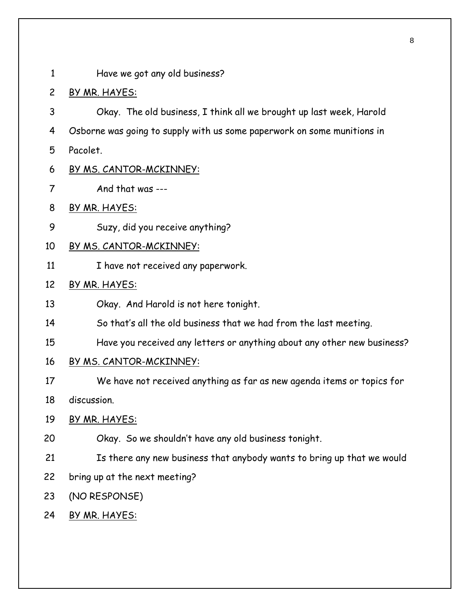Have we got any old business?

# BY MR. HAYES:

- Okay. The old business, I think all we brought up last week, Harold Osborne was going to supply with us some paperwork on some munitions in Pacolet.
- BY MS. CANTOR-MCKINNEY:
- And that was ---
- BY MR. HAYES:
- Suzy, did you receive anything?
- BY MS. CANTOR-MCKINNEY:
- 11 I have not received any paperwork.

# BY MR. HAYES:

- Okay. And Harold is not here tonight.
- So that's all the old business that we had from the last meeting.
- Have you received any letters or anything about any other new business?
- BY MS. CANTOR-MCKINNEY:
- We have not received anything as far as new agenda items or topics for

discussion.

- 19 BY MR. HAYES:
- Okay. So we shouldn't have any old business tonight.
- Is there any new business that anybody wants to bring up that we would
- bring up at the next meeting?
- (NO RESPONSE)
- BY MR. HAYES: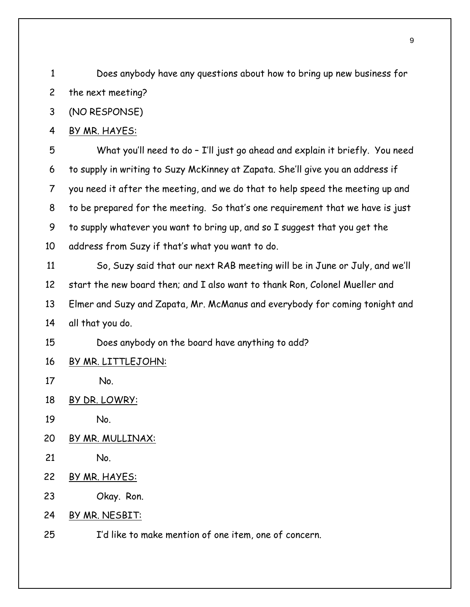Does anybody have any questions about how to bring up new business for the next meeting?

(NO RESPONSE)

### BY MR. HAYES:

 What you'll need to do – I'll just go ahead and explain it briefly. You need to supply in writing to Suzy McKinney at Zapata. She'll give you an address if you need it after the meeting, and we do that to help speed the meeting up and to be prepared for the meeting. So that's one requirement that we have is just to supply whatever you want to bring up, and so I suggest that you get the address from Suzy if that's what you want to do.

 So, Suzy said that our next RAB meeting will be in June or July, and we'll start the new board then; and I also want to thank Ron, Colonel Mueller and Elmer and Suzy and Zapata, Mr. McManus and everybody for coming tonight and all that you do.

Does anybody on the board have anything to add?

BY MR. LITTLEJOHN:

17 No.

- BY DR. LOWRY:
- No.
- BY MR. MULLINAX:
- No.
- BY MR. HAYES:
- Okay. Ron.
- BY MR. NESBIT:
- I'd like to make mention of one item, one of concern.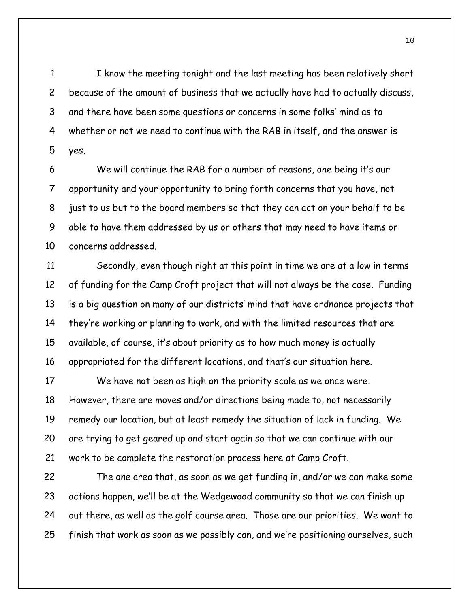I know the meeting tonight and the last meeting has been relatively short because of the amount of business that we actually have had to actually discuss, and there have been some questions or concerns in some folks' mind as to whether or not we need to continue with the RAB in itself, and the answer is yes.

 We will continue the RAB for a number of reasons, one being it's our opportunity and your opportunity to bring forth concerns that you have, not just to us but to the board members so that they can act on your behalf to be able to have them addressed by us or others that may need to have items or concerns addressed.

 Secondly, even though right at this point in time we are at a low in terms of funding for the Camp Croft project that will not always be the case. Funding is a big question on many of our districts' mind that have ordnance projects that they're working or planning to work, and with the limited resources that are available, of course, it's about priority as to how much money is actually appropriated for the different locations, and that's our situation here.

 We have not been as high on the priority scale as we once were. However, there are moves and/or directions being made to, not necessarily remedy our location, but at least remedy the situation of lack in funding. We are trying to get geared up and start again so that we can continue with our work to be complete the restoration process here at Camp Croft.

 The one area that, as soon as we get funding in, and/or we can make some actions happen, we'll be at the Wedgewood community so that we can finish up out there, as well as the golf course area. Those are our priorities. We want to finish that work as soon as we possibly can, and we're positioning ourselves, such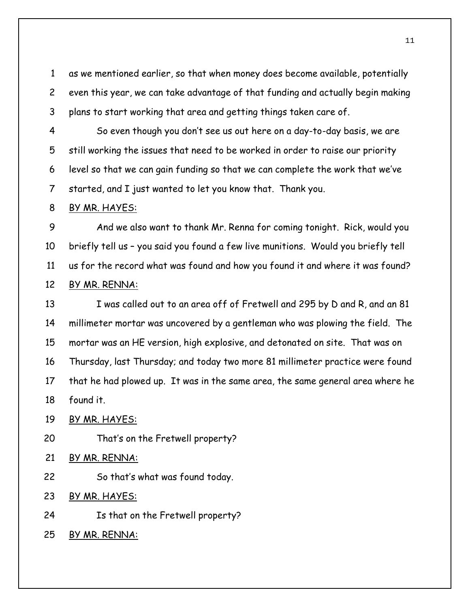as we mentioned earlier, so that when money does become available, potentially even this year, we can take advantage of that funding and actually begin making plans to start working that area and getting things taken care of.

 So even though you don't see us out here on a day-to-day basis, we are still working the issues that need to be worked in order to raise our priority level so that we can gain funding so that we can complete the work that we've started, and I just wanted to let you know that. Thank you.

#### BY MR. HAYES:

 And we also want to thank Mr. Renna for coming tonight. Rick, would you briefly tell us – you said you found a few live munitions. Would you briefly tell us for the record what was found and how you found it and where it was found? BY MR. RENNA:

 I was called out to an area off of Fretwell and 295 by D and R, and an 81 millimeter mortar was uncovered by a gentleman who was plowing the field. The mortar was an HE version, high explosive, and detonated on site. That was on Thursday, last Thursday; and today two more 81 millimeter practice were found that he had plowed up. It was in the same area, the same general area where he found it.

BY MR. HAYES:

That's on the Fretwell property?

BY MR. RENNA:

So that's what was found today.

BY MR. HAYES:

Is that on the Fretwell property?

BY MR. RENNA: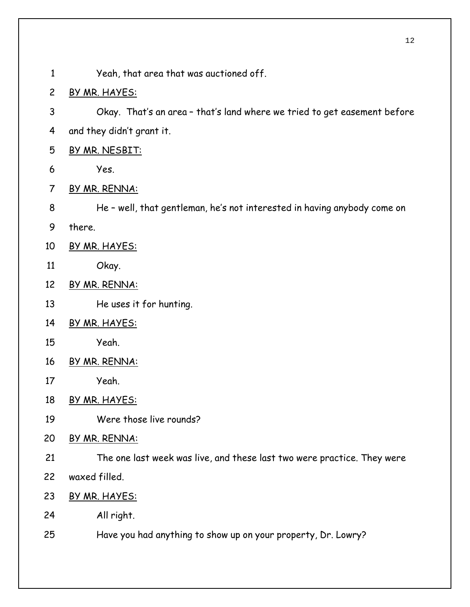- Yeah, that area that was auctioned off.
- BY MR. HAYES:
- Okay. That's an area that's land where we tried to get easement before and they didn't grant it.
- BY MR. NESBIT:
- Yes.
- BY MR. RENNA:
- He well, that gentleman, he's not interested in having anybody come on
- there.
- BY MR. HAYES:
- Okay.
- BY MR. RENNA:
- He uses it for hunting.
- BY MR. HAYES:
- Yeah.
- BY MR. RENNA:
- Yeah.
- 18 BY MR. HAYES:
- Were those live rounds?
- BY MR. RENNA:
- The one last week was live, and these last two were practice. They were
- waxed filled.
- 23 BY MR. HAYES:
- All right.
- Have you had anything to show up on your property, Dr. Lowry?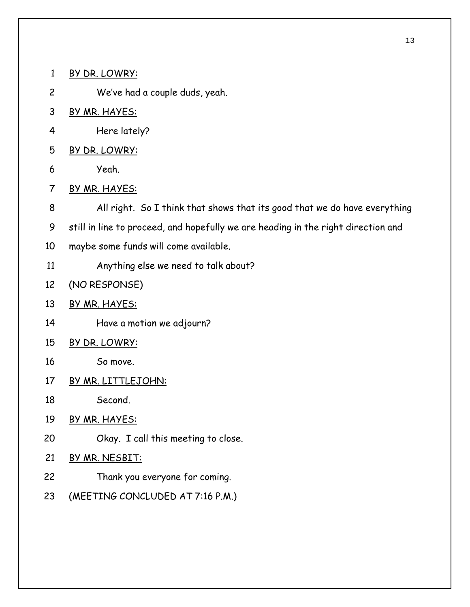BY DR. LOWRY:

We've had a couple duds, yeah.

- 3 BY MR. HAYES:
- Here lately?
- BY DR. LOWRY:
- Yeah.
- BY MR. HAYES:

All right. So I think that shows that its good that we do have everything

still in line to proceed, and hopefully we are heading in the right direction and

- maybe some funds will come available.
- Anything else we need to talk about?
- (NO RESPONSE)
- BY MR. HAYES:
- Have a motion we adjourn?
- BY DR. LOWRY:
- So move.
- BY MR. LITTLEJOHN:
- Second.
- BY MR. HAYES:
- Okay. I call this meeting to close.
- BY MR. NESBIT:
- Thank you everyone for coming.
- (MEETING CONCLUDED AT 7:16 P.M.)